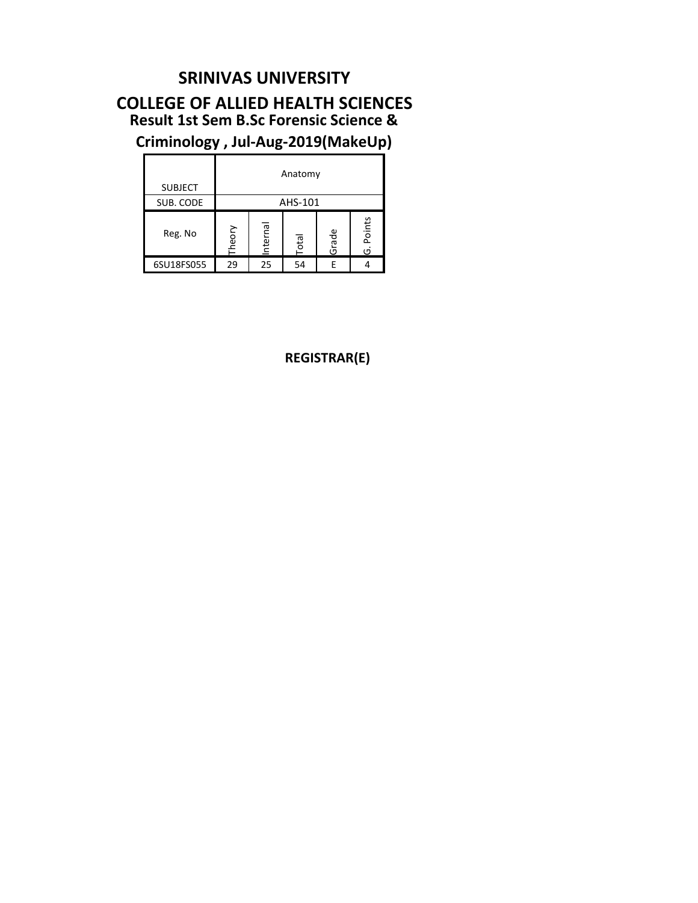#### **SRINIVAS UNIVERSITY**

#### **Result 1st Sem B.Sc Forensic Science & Criminology , Jul-Aug-2019(MakeUp) COLLEGE OF ALLIED HEALTH SCIENCES**

| <b>SUBJECT</b> | Anatomy |          |              |       |             |  |  |  |  |  |  |  |  |
|----------------|---------|----------|--------------|-------|-------------|--|--|--|--|--|--|--|--|
| SUB. CODE      |         |          | AHS-101      |       |             |  |  |  |  |  |  |  |  |
| Reg. No        | Theory  | Internal | <b>Total</b> | Grade | Points<br>ق |  |  |  |  |  |  |  |  |
| 6SU18FS055     | 29      | 25       | 54           | F     |             |  |  |  |  |  |  |  |  |

**REGISTRAR(E)**